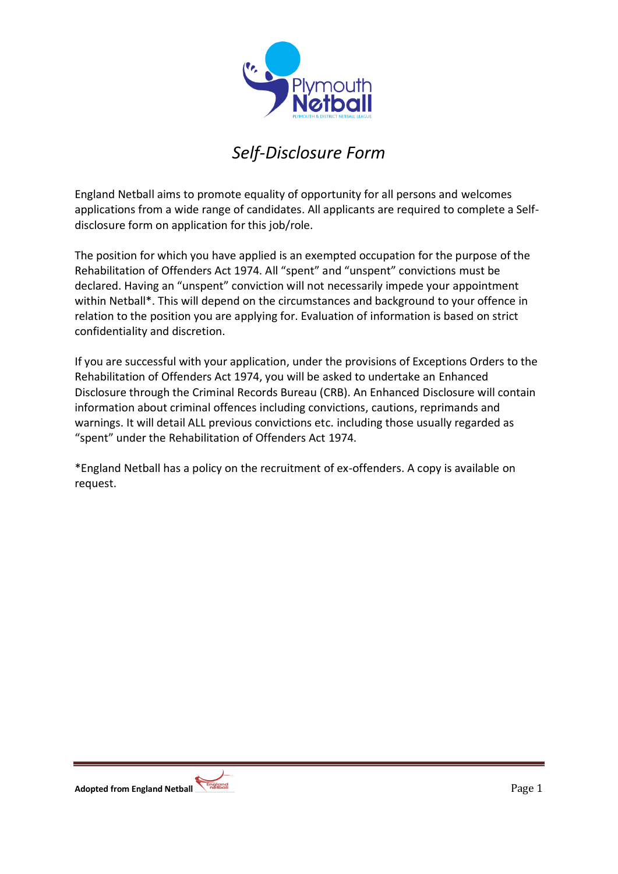

## *Self-Disclosure Form*

England Netball aims to promote equality of opportunity for all persons and welcomes applications from a wide range of candidates. All applicants are required to complete a Selfdisclosure form on application for this job/role.

The position for which you have applied is an exempted occupation for the purpose of the Rehabilitation of Offenders Act 1974. All "spent" and "unspent" convictions must be declared. Having an "unspent" conviction will not necessarily impede your appointment within Netball\*. This will depend on the circumstances and background to your offence in relation to the position you are applying for. Evaluation of information is based on strict confidentiality and discretion.

If you are successful with your application, under the provisions of Exceptions Orders to the Rehabilitation of Offenders Act 1974, you will be asked to undertake an Enhanced Disclosure through the Criminal Records Bureau (CRB). An Enhanced Disclosure will contain information about criminal offences including convictions, cautions, reprimands and warnings. It will detail ALL previous convictions etc. including those usually regarded as "spent" under the Rehabilitation of Offenders Act 1974.

\*England Netball has a policy on the recruitment of ex-offenders. A copy is available on request.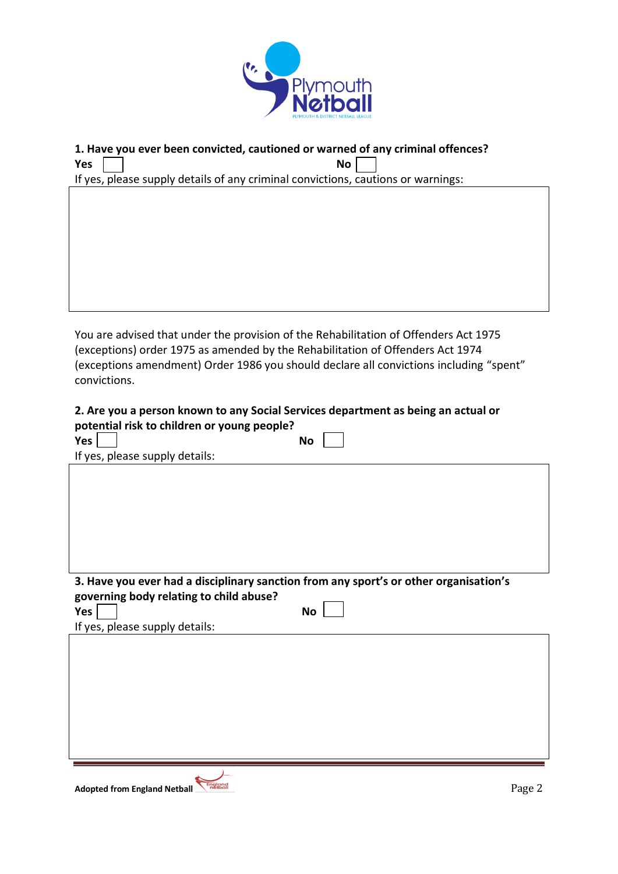

## **1. Have you ever been convicted, cautioned or warned of any criminal offences? Yes No**

If yes, please supply details of any criminal convictions, cautions or warnings:

You are advised that under the provision of the Rehabilitation of Offenders Act 1975 (exceptions) order 1975 as amended by the Rehabilitation of Offenders Act 1974 (exceptions amendment) Order 1986 you should declare all convictions including "spent" convictions.

## **2. Are you a person known to any Social Services department as being an actual or potential risk to children or young people?**

| potential not to children on young poople.<br>Yes | No |  |
|---------------------------------------------------|----|--|
| If yes, please supply details:                    |    |  |

| 3. Have you ever had a disciplinary sanction from any sport's or other organisation's |
|---------------------------------------------------------------------------------------|
| governing body relating to child abuse?<br>Yes<br><b>No</b>                           |
| If yes, please supply details:                                                        |
|                                                                                       |
|                                                                                       |
|                                                                                       |
|                                                                                       |
|                                                                                       |
|                                                                                       |